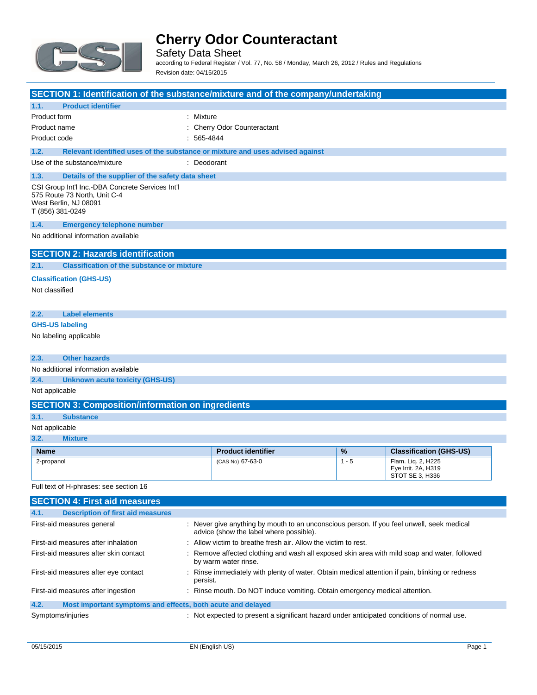

Safety Data Sheet according to Federal Register / Vol. 77, No. 58 / Monday, March 26, 2012 / Rules and Regulations Revision date: 04/15/2015

| SECTION 1: Identification of the substance/mixture and of the company/undertaking                                             |              |                                                                                                                                      |         |                                                              |  |
|-------------------------------------------------------------------------------------------------------------------------------|--------------|--------------------------------------------------------------------------------------------------------------------------------------|---------|--------------------------------------------------------------|--|
| <b>Product identifier</b><br>1.1.                                                                                             |              |                                                                                                                                      |         |                                                              |  |
| Product form                                                                                                                  | : Mixture    |                                                                                                                                      |         |                                                              |  |
| Product name                                                                                                                  |              | : Cherry Odor Counteractant                                                                                                          |         |                                                              |  |
| Product code                                                                                                                  | $: 565-4844$ |                                                                                                                                      |         |                                                              |  |
| 1.2.<br>Relevant identified uses of the substance or mixture and uses advised against                                         |              |                                                                                                                                      |         |                                                              |  |
| Use of the substance/mixture                                                                                                  | : Deodorant  |                                                                                                                                      |         |                                                              |  |
| 1.3.<br>Details of the supplier of the safety data sheet                                                                      |              |                                                                                                                                      |         |                                                              |  |
| CSI Group Int'l Inc.-DBA Concrete Services Int'l<br>575 Route 73 North, Unit C-4<br>West Berlin, NJ 08091<br>T (856) 381-0249 |              |                                                                                                                                      |         |                                                              |  |
| 1.4.<br><b>Emergency telephone number</b>                                                                                     |              |                                                                                                                                      |         |                                                              |  |
| No additional information available                                                                                           |              |                                                                                                                                      |         |                                                              |  |
| <b>SECTION 2: Hazards identification</b>                                                                                      |              |                                                                                                                                      |         |                                                              |  |
| 2.1.<br><b>Classification of the substance or mixture</b>                                                                     |              |                                                                                                                                      |         |                                                              |  |
| <b>Classification (GHS-US)</b>                                                                                                |              |                                                                                                                                      |         |                                                              |  |
| Not classified                                                                                                                |              |                                                                                                                                      |         |                                                              |  |
|                                                                                                                               |              |                                                                                                                                      |         |                                                              |  |
| <b>Label elements</b><br>2.2.                                                                                                 |              |                                                                                                                                      |         |                                                              |  |
| <b>GHS-US labeling</b>                                                                                                        |              |                                                                                                                                      |         |                                                              |  |
| No labeling applicable                                                                                                        |              |                                                                                                                                      |         |                                                              |  |
| <b>Other hazards</b><br>2.3.                                                                                                  |              |                                                                                                                                      |         |                                                              |  |
| No additional information available                                                                                           |              |                                                                                                                                      |         |                                                              |  |
| 2.4.<br><b>Unknown acute toxicity (GHS-US)</b>                                                                                |              |                                                                                                                                      |         |                                                              |  |
| Not applicable                                                                                                                |              |                                                                                                                                      |         |                                                              |  |
| <b>SECTION 3: Composition/information on ingredients</b>                                                                      |              |                                                                                                                                      |         |                                                              |  |
| 3.1.<br><b>Substance</b>                                                                                                      |              |                                                                                                                                      |         |                                                              |  |
| Not applicable                                                                                                                |              |                                                                                                                                      |         |                                                              |  |
| 3.2.<br><b>Mixture</b>                                                                                                        |              |                                                                                                                                      |         |                                                              |  |
| <b>Name</b>                                                                                                                   |              | <b>Product identifier</b>                                                                                                            | %       | <b>Classification (GHS-US)</b>                               |  |
| 2-propanol                                                                                                                    |              | (CAS No) 67-63-0                                                                                                                     | $1 - 5$ | Flam. Lig. 2. H225<br>Eye Irrit. 2A, H319<br>STOT SE 3, H336 |  |
| Full text of H-phrases: see section 16                                                                                        |              |                                                                                                                                      |         |                                                              |  |
| <b>SECTION 4: First aid measures</b>                                                                                          |              |                                                                                                                                      |         |                                                              |  |
| 4.1.<br><b>Description of first aid measures</b>                                                                              |              |                                                                                                                                      |         |                                                              |  |
| First-aid measures general                                                                                                    |              | : Never give anything by mouth to an unconscious person. If you feel unwell, seek medical<br>advice (show the label where possible). |         |                                                              |  |
| First-aid measures after inhalation                                                                                           |              | : Allow victim to breathe fresh air. Allow the victim to rest.                                                                       |         |                                                              |  |
| First-aid measures after skin contact                                                                                         |              | : Remove affected clothing and wash all exposed skin area with mild soap and water, followed<br>by warm water rinse.                 |         |                                                              |  |

|      |                                                             | persist.                                                                   |
|------|-------------------------------------------------------------|----------------------------------------------------------------------------|
|      | First-aid measures after ingestion                          | : Rinse mouth. Do NOT induce vomiting. Obtain emergency medical attention. |
| 4.2. | Most important symptoms and effects, both acute and delayed |                                                                            |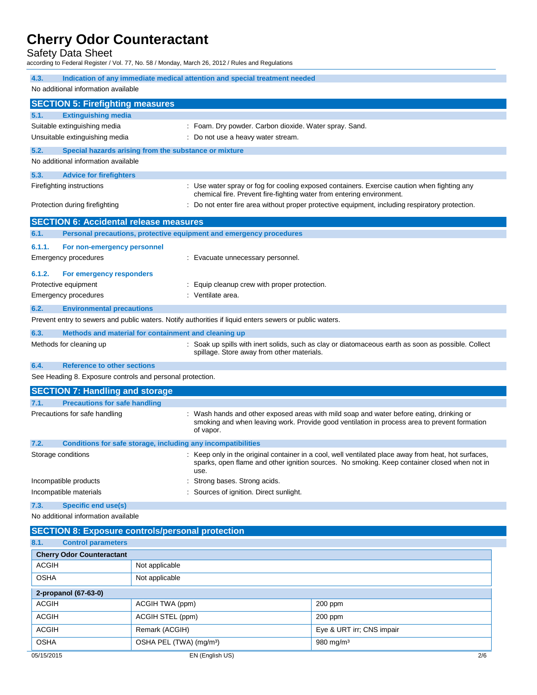Safety Data Sheet

according to Federal Register / Vol. 77, No. 58 / Monday, March 26, 2012 / Rules and Regulations

| 4.3.                                                      | Indication of any immediate medical attention and special treatment needed                              |                                                                                                                                                                                                      |  |
|-----------------------------------------------------------|---------------------------------------------------------------------------------------------------------|------------------------------------------------------------------------------------------------------------------------------------------------------------------------------------------------------|--|
| No additional information available                       |                                                                                                         |                                                                                                                                                                                                      |  |
| <b>SECTION 5: Firefighting measures</b>                   |                                                                                                         |                                                                                                                                                                                                      |  |
| 5.1.<br><b>Extinguishing media</b>                        |                                                                                                         |                                                                                                                                                                                                      |  |
| Suitable extinguishing media                              | : Foam. Dry powder. Carbon dioxide. Water spray. Sand.                                                  |                                                                                                                                                                                                      |  |
| Unsuitable extinguishing media                            | : Do not use a heavy water stream.                                                                      |                                                                                                                                                                                                      |  |
| 5.2.                                                      | Special hazards arising from the substance or mixture                                                   |                                                                                                                                                                                                      |  |
| No additional information available                       |                                                                                                         |                                                                                                                                                                                                      |  |
| 5.3.<br><b>Advice for firefighters</b>                    |                                                                                                         |                                                                                                                                                                                                      |  |
| Firefighting instructions                                 |                                                                                                         | Use water spray or fog for cooling exposed containers. Exercise caution when fighting any<br>chemical fire. Prevent fire-fighting water from entering environment.                                   |  |
| Protection during firefighting                            |                                                                                                         | : Do not enter fire area without proper protective equipment, including respiratory protection.                                                                                                      |  |
| <b>SECTION 6: Accidental release measures</b>             |                                                                                                         |                                                                                                                                                                                                      |  |
| 6.1.                                                      | Personal precautions, protective equipment and emergency procedures                                     |                                                                                                                                                                                                      |  |
| 6.1.1.<br>For non-emergency personnel                     |                                                                                                         |                                                                                                                                                                                                      |  |
| Emergency procedures                                      | : Evacuate unnecessary personnel.                                                                       |                                                                                                                                                                                                      |  |
| 6.1.2.<br>For emergency responders                        |                                                                                                         |                                                                                                                                                                                                      |  |
| Protective equipment                                      | : Equip cleanup crew with proper protection.                                                            |                                                                                                                                                                                                      |  |
| Emergency procedures                                      | : Ventilate area.                                                                                       |                                                                                                                                                                                                      |  |
| 6.2.<br><b>Environmental precautions</b>                  |                                                                                                         |                                                                                                                                                                                                      |  |
|                                                           | Prevent entry to sewers and public waters. Notify authorities if liquid enters sewers or public waters. |                                                                                                                                                                                                      |  |
| 6.3.                                                      | Methods and material for containment and cleaning up                                                    |                                                                                                                                                                                                      |  |
| Methods for cleaning up                                   | spillage. Store away from other materials.                                                              | : Soak up spills with inert solids, such as clay or diatomaceous earth as soon as possible. Collect                                                                                                  |  |
| 6.4.<br><b>Reference to other sections</b>                |                                                                                                         |                                                                                                                                                                                                      |  |
| See Heading 8. Exposure controls and personal protection. |                                                                                                         |                                                                                                                                                                                                      |  |
| <b>SECTION 7: Handling and storage</b>                    |                                                                                                         |                                                                                                                                                                                                      |  |
| 7.1.<br><b>Precautions for safe handling</b>              |                                                                                                         |                                                                                                                                                                                                      |  |
| Precautions for safe handling                             | of vapor.                                                                                               | : Wash hands and other exposed areas with mild soap and water before eating, drinking or<br>smoking and when leaving work. Provide good ventilation in process area to prevent formation             |  |
| 7.2.                                                      | Conditions for safe storage, including any incompatibilities                                            |                                                                                                                                                                                                      |  |
| Storage conditions                                        | use.                                                                                                    | : Keep only in the original container in a cool, well ventilated place away from heat, hot surfaces,<br>sparks, open flame and other ignition sources. No smoking. Keep container closed when not in |  |
| Incompatible products                                     | Strong bases. Strong acids.                                                                             |                                                                                                                                                                                                      |  |
| Incompatible materials                                    | Sources of ignition. Direct sunlight.                                                                   |                                                                                                                                                                                                      |  |
| 7.3.<br><b>Specific end use(s)</b>                        |                                                                                                         |                                                                                                                                                                                                      |  |
| No additional information available                       |                                                                                                         |                                                                                                                                                                                                      |  |
| <b>SECTION 8: Exposure controls/personal protection</b>   |                                                                                                         |                                                                                                                                                                                                      |  |
| 8.1.<br><b>Control parameters</b>                         |                                                                                                         |                                                                                                                                                                                                      |  |
| <b>Cherry Odor Counteractant</b>                          |                                                                                                         |                                                                                                                                                                                                      |  |
| <b>ACGIH</b>                                              | Not applicable                                                                                          |                                                                                                                                                                                                      |  |
| <b>OSHA</b>                                               | Not applicable                                                                                          |                                                                                                                                                                                                      |  |
| 2-propanol (67-63-0)                                      |                                                                                                         |                                                                                                                                                                                                      |  |
| <b>ACGIH</b>                                              | ACGIH TWA (ppm)                                                                                         | 200 ppm                                                                                                                                                                                              |  |
| <b>ACGIH</b>                                              | ACGIH STEL (ppm)                                                                                        | $200$ ppm                                                                                                                                                                                            |  |
| <b>ACGIH</b>                                              | Remark (ACGIH)                                                                                          | Eye & URT irr; CNS impair                                                                                                                                                                            |  |
| <b>OSHA</b>                                               | OSHA PEL (TWA) (mg/m <sup>3</sup> )                                                                     | 980 mg/m <sup>3</sup>                                                                                                                                                                                |  |
| 05/15/2015                                                | EN (English US)                                                                                         | 2/6                                                                                                                                                                                                  |  |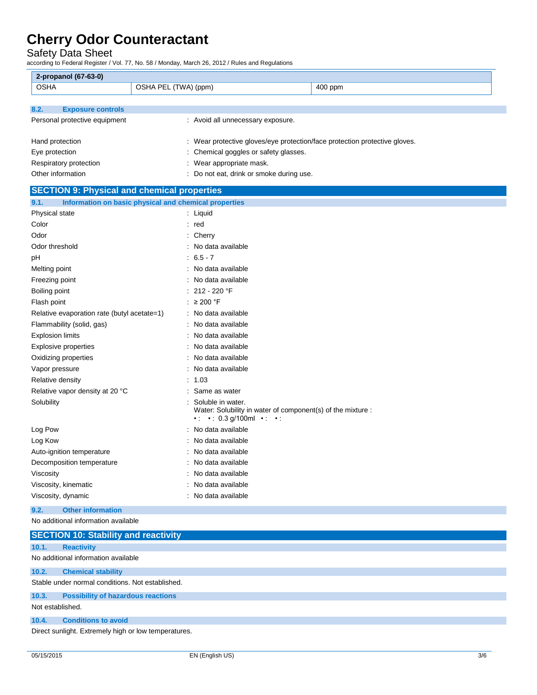Safety Data Sheet

according to Federal Register / Vol. 77, No. 58 / Monday, March 26, 2012 / Rules and Regulations

| 2-propanol (67-63-0)                               |                                                                                                                                 |  |
|----------------------------------------------------|---------------------------------------------------------------------------------------------------------------------------------|--|
| <b>OSHA</b>                                        | OSHA PEL (TWA) (ppm)<br>400 ppm                                                                                                 |  |
|                                                    |                                                                                                                                 |  |
| 8.2.<br><b>Exposure controls</b>                   |                                                                                                                                 |  |
| Personal protective equipment                      | : Avoid all unnecessary exposure.                                                                                               |  |
|                                                    |                                                                                                                                 |  |
| Hand protection                                    | : Wear protective gloves/eye protection/face protection protective gloves.                                                      |  |
| Eye protection                                     | : Chemical goggles or safety glasses.                                                                                           |  |
| Respiratory protection                             | : Wear appropriate mask.                                                                                                        |  |
| Other information                                  | : Do not eat, drink or smoke during use.                                                                                        |  |
| <b>SECTION 9: Physical and chemical properties</b> |                                                                                                                                 |  |
| 9.1.                                               | Information on basic physical and chemical properties                                                                           |  |
| Physical state                                     | : Liquid                                                                                                                        |  |
| Color                                              | : red                                                                                                                           |  |
| Odor                                               | $:$ Cherry                                                                                                                      |  |
| Odor threshold                                     | : No data available                                                                                                             |  |
| рH                                                 | $: 6.5 - 7$                                                                                                                     |  |
| Melting point                                      | : No data available                                                                                                             |  |
| Freezing point                                     | : No data available                                                                                                             |  |
| Boiling point                                      | : $212 - 220$ °F                                                                                                                |  |
| Flash point                                        | : $\geq 200$ °F                                                                                                                 |  |
| Relative evaporation rate (butyl acetate=1)        | : No data available                                                                                                             |  |
| Flammability (solid, gas)                          | No data available                                                                                                               |  |
| <b>Explosion limits</b>                            | No data available                                                                                                               |  |
| Explosive properties                               | No data available                                                                                                               |  |
| Oxidizing properties                               | No data available                                                                                                               |  |
| Vapor pressure                                     | : No data available                                                                                                             |  |
| Relative density                                   | : 1.03                                                                                                                          |  |
| Relative vapor density at 20 °C                    | : Same as water                                                                                                                 |  |
| Solubility                                         | Soluble in water.<br>Water: Solubility in water of component(s) of the mixture :<br>$\cdot$ $\cdot$ 0.3 g/100ml $\cdot$ $\cdot$ |  |
| Log Pow                                            | No data available                                                                                                               |  |
| Log Kow                                            | : No data available                                                                                                             |  |
| Auto-ignition temperature                          | : No data available                                                                                                             |  |
| Decomposition temperature                          | No data available                                                                                                               |  |
| Viscosity                                          | : No data available                                                                                                             |  |
| Viscosity, kinematic                               | No data available                                                                                                               |  |
| Viscosity, dynamic                                 | : No data available                                                                                                             |  |
| 9.2.<br><b>Other information</b>                   |                                                                                                                                 |  |

No additional information available

|                  | <b>SECTION 10: Stability and reactivity</b>          |
|------------------|------------------------------------------------------|
| 10.1.            | <b>Reactivity</b>                                    |
|                  | No additional information available                  |
| 10.2.            | <b>Chemical stability</b>                            |
|                  | Stable under normal conditions. Not established.     |
| 10.3.            | <b>Possibility of hazardous reactions</b>            |
| Not established. |                                                      |
| 10.4.            | <b>Conditions to avoid</b>                           |
|                  | Direct sunlight. Extremely high or low temperatures. |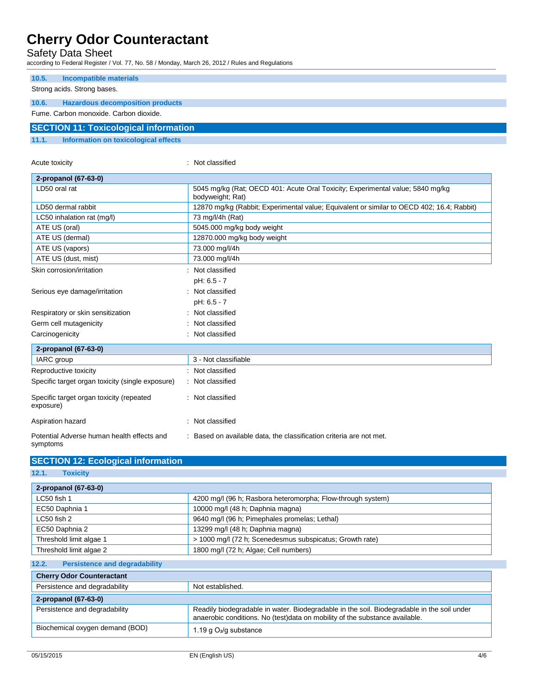Acute toxicity **in the case of the CALIC CONTEX :** Not classified

### Safety Data Sheet

according to Federal Register / Vol. 77, No. 58 / Monday, March 26, 2012 / Rules and Regulations

| 10.5. | Incompatible materials                       |
|-------|----------------------------------------------|
|       | Strong acids. Strong bases.                  |
|       |                                              |
| 10.6. | <b>Hazardous decomposition products</b>      |
|       | Fume, Carbon monoxide, Carbon dioxide,       |
|       | <b>SECTION 11: Toxicological information</b> |
| 11.1. | Information on toxicological effects         |

| 2-propanol (67-63-0)                                   |                                                                                                    |
|--------------------------------------------------------|----------------------------------------------------------------------------------------------------|
| LD50 oral rat                                          | 5045 mg/kg (Rat; OECD 401: Acute Oral Toxicity; Experimental value; 5840 mg/kg<br>bodyweight; Rat) |
| LD50 dermal rabbit                                     | 12870 mg/kg (Rabbit; Experimental value; Equivalent or similar to OECD 402; 16.4; Rabbit)          |
| LC50 inhalation rat (mg/l)                             | 73 mg/l/4h (Rat)                                                                                   |
| ATE US (oral)                                          | 5045.000 mg/kg body weight                                                                         |
| ATE US (dermal)                                        | 12870.000 mg/kg body weight                                                                        |
| ATE US (vapors)                                        | 73.000 mg/l/4h                                                                                     |
| ATE US (dust, mist)                                    | 73.000 mg/l/4h                                                                                     |
| Skin corrosion/irritation                              | : Not classified                                                                                   |
|                                                        | pH: 6.5 - 7                                                                                        |
| Serious eye damage/irritation                          | : Not classified                                                                                   |
|                                                        | pH: 6.5 - 7                                                                                        |
| Respiratory or skin sensitization                      | : Not classified                                                                                   |
| Germ cell mutagenicity                                 | : Not classified                                                                                   |
| Carcinogenicity                                        | : Not classified                                                                                   |
| 2-propanol (67-63-0)                                   |                                                                                                    |
| IARC group                                             | 3 - Not classifiable                                                                               |
| Reproductive toxicity                                  | : Not classified                                                                                   |
| Specific target organ toxicity (single exposure)       | : Not classified                                                                                   |
| Specific target organ toxicity (repeated<br>exposure)  | : Not classified                                                                                   |
| Aspiration hazard                                      | : Not classified                                                                                   |
| Potential Adverse human health effects and<br>symptoms | : Based on available data, the classification criteria are not met.                                |

| <b>SECTION 12: Ecological information</b> |                                                             |
|-------------------------------------------|-------------------------------------------------------------|
| 12.1.<br><b>Toxicity</b>                  |                                                             |
| 2-propanol (67-63-0)                      |                                                             |
| LC50 fish 1                               | 4200 mg/l (96 h; Rasbora heteromorpha; Flow-through system) |
| EC50 Daphnia 1                            | 10000 mg/l (48 h; Daphnia magna)                            |
| LC50 fish 2                               | 9640 mg/l (96 h; Pimephales promelas; Lethal)               |

| LC50 fish 2                                   | 9640 mg/l (96 h; Pimephales promelas; Lethal)                                                                                                                              |  |
|-----------------------------------------------|----------------------------------------------------------------------------------------------------------------------------------------------------------------------------|--|
| EC50 Daphnia 2                                | 13299 mg/l (48 h; Daphnia magna)                                                                                                                                           |  |
| Threshold limit algae 1                       | > 1000 mg/l (72 h; Scenedesmus subspicatus; Growth rate)                                                                                                                   |  |
| Threshold limit algae 2                       | 1800 mg/l (72 h; Algae; Cell numbers)                                                                                                                                      |  |
| 12.2.<br><b>Persistence and degradability</b> |                                                                                                                                                                            |  |
| <b>Cherry Odor Counteractant</b>              |                                                                                                                                                                            |  |
| Persistence and degradability                 | Not established.                                                                                                                                                           |  |
| 2-propanol (67-63-0)                          |                                                                                                                                                                            |  |
| Persistence and degradability                 | Readily biodegradable in water. Biodegradable in the soil. Biodegradable in the soil under<br>anaerobic conditions. No (test) data on mobility of the substance available. |  |
| Biochemical oxygen demand (BOD)               | 1.19 g $O_2$ /g substance                                                                                                                                                  |  |

I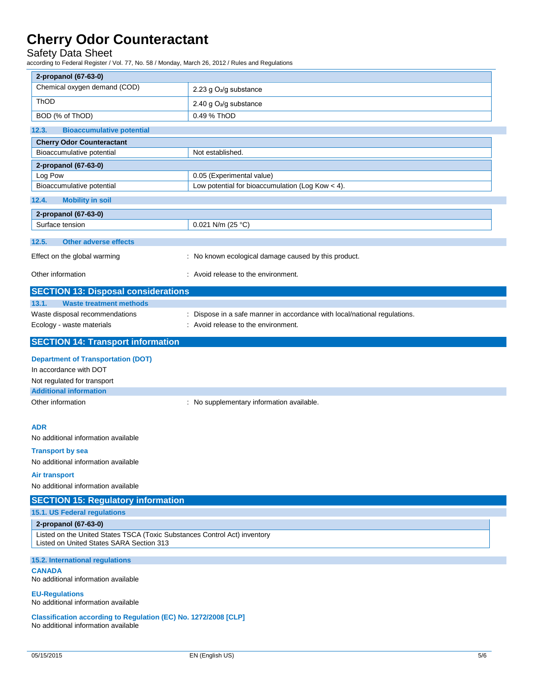### Safety Data Sheet

according to Federal Register / Vol. 77, No. 58 / Monday, March 26, 2012 / Rules and Regulations

| 2-propanol (67-63-0)                                                                                                  |                                                                           |  |
|-----------------------------------------------------------------------------------------------------------------------|---------------------------------------------------------------------------|--|
| Chemical oxygen demand (COD)                                                                                          | 2.23 g O <sub>2</sub> /g substance                                        |  |
| ThOD                                                                                                                  | 2.40 g O <sub>2</sub> /g substance                                        |  |
| BOD (% of ThOD)                                                                                                       | 0.49 % ThOD                                                               |  |
| 12.3.<br><b>Bioaccumulative potential</b>                                                                             |                                                                           |  |
| <b>Cherry Odor Counteractant</b>                                                                                      |                                                                           |  |
| Bioaccumulative potential                                                                                             | Not established.                                                          |  |
| 2-propanol (67-63-0)                                                                                                  |                                                                           |  |
| Log Pow                                                                                                               | 0.05 (Experimental value)                                                 |  |
| Bioaccumulative potential                                                                                             | Low potential for bioaccumulation (Log Kow $<$ 4).                        |  |
| 12.4.<br><b>Mobility in soil</b>                                                                                      |                                                                           |  |
| 2-propanol (67-63-0)                                                                                                  |                                                                           |  |
| Surface tension                                                                                                       | 0.021 N/m (25 °C)                                                         |  |
| 12.5.<br><b>Other adverse effects</b>                                                                                 |                                                                           |  |
| Effect on the global warming                                                                                          | : No known ecological damage caused by this product.                      |  |
|                                                                                                                       |                                                                           |  |
| Other information                                                                                                     | : Avoid release to the environment.                                       |  |
| <b>SECTION 13: Disposal considerations</b>                                                                            |                                                                           |  |
| 13.1.<br><b>Waste treatment methods</b>                                                                               |                                                                           |  |
| Waste disposal recommendations                                                                                        | : Dispose in a safe manner in accordance with local/national regulations. |  |
| Ecology - waste materials                                                                                             | : Avoid release to the environment.                                       |  |
| <b>SECTION 14: Transport information</b>                                                                              |                                                                           |  |
| <b>Department of Transportation (DOT)</b>                                                                             |                                                                           |  |
| In accordance with DOT                                                                                                |                                                                           |  |
| Not regulated for transport                                                                                           |                                                                           |  |
| <b>Additional information</b>                                                                                         |                                                                           |  |
| Other information                                                                                                     | : No supplementary information available.                                 |  |
|                                                                                                                       |                                                                           |  |
| <b>ADR</b>                                                                                                            |                                                                           |  |
| No additional information available                                                                                   |                                                                           |  |
| <b>Transport by sea</b>                                                                                               |                                                                           |  |
| No additional information available                                                                                   |                                                                           |  |
| Air transport                                                                                                         |                                                                           |  |
| No additional information available                                                                                   |                                                                           |  |
| <b>SECTION 15: Regulatory information</b>                                                                             |                                                                           |  |
| 15.1. US Federal regulations                                                                                          |                                                                           |  |
| 2-propanol (67-63-0)                                                                                                  |                                                                           |  |
| Listed on the United States TSCA (Toxic Substances Control Act) inventory<br>Listed on United States SARA Section 313 |                                                                           |  |
| 15.2. International regulations                                                                                       |                                                                           |  |
| <b>CANADA</b><br>No additional information available                                                                  |                                                                           |  |
| <b>EU-Regulations</b><br>No additional information available                                                          |                                                                           |  |
| Classification according to Regulation (EC) No. 1272/2008 [CLP]<br>No additional information available                |                                                                           |  |